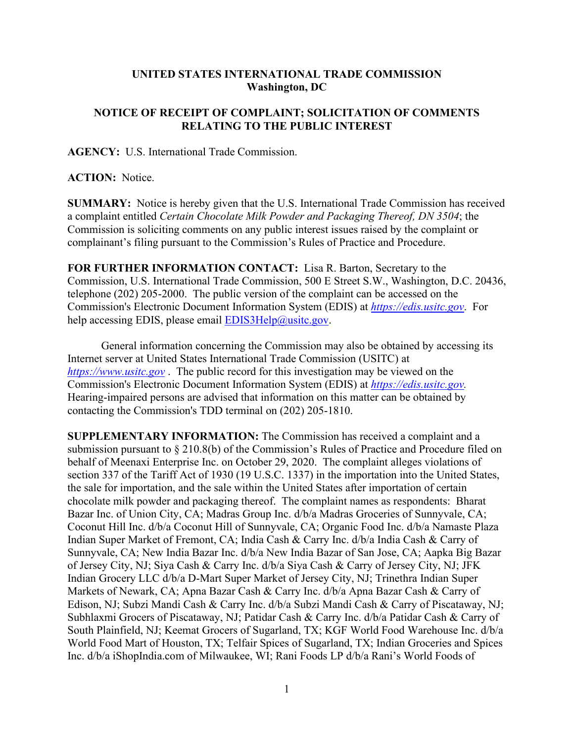## **UNITED STATES INTERNATIONAL TRADE COMMISSION Washington, DC**

## **NOTICE OF RECEIPT OF COMPLAINT; SOLICITATION OF COMMENTS RELATING TO THE PUBLIC INTEREST**

**AGENCY:** U.S. International Trade Commission.

## **ACTION:** Notice.

**SUMMARY:** Notice is hereby given that the U.S. International Trade Commission has received a complaint entitled *Certain Chocolate Milk Powder and Packaging Thereof, DN 3504*; the Commission is soliciting comments on any public interest issues raised by the complaint or complainant's filing pursuant to the Commission's Rules of Practice and Procedure.

**FOR FURTHER INFORMATION CONTACT:** Lisa R. Barton, Secretary to the Commission, U.S. International Trade Commission, 500 E Street S.W., Washington, D.C. 20436, telephone (202) 205-2000. The public version of the complaint can be accessed on the Commission's Electronic Document Information System (EDIS) at *[https://edis.usitc.gov](https://edis.usitc.gov/)*. For help accessing EDIS, please email [EDIS3Help@usitc.gov.](mailto:EDIS3Help@usitc.gov)

General information concerning the Commission may also be obtained by accessing its Internet server at United States International Trade Commission (USITC) at *[https://www.usitc.gov](https://www.usitc.gov/)* . The public record for this investigation may be viewed on the Commission's Electronic Document Information System (EDIS) at *[https://edis.usitc.gov.](https://edis.usitc.gov/)* Hearing-impaired persons are advised that information on this matter can be obtained by contacting the Commission's TDD terminal on (202) 205-1810.

**SUPPLEMENTARY INFORMATION:** The Commission has received a complaint and a submission pursuant to § 210.8(b) of the Commission's Rules of Practice and Procedure filed on behalf of Meenaxi Enterprise Inc. on October 29, 2020. The complaint alleges violations of section 337 of the Tariff Act of 1930 (19 U.S.C. 1337) in the importation into the United States, the sale for importation, and the sale within the United States after importation of certain chocolate milk powder and packaging thereof. The complaint names as respondents: Bharat Bazar Inc. of Union City, CA; Madras Group Inc. d/b/a Madras Groceries of Sunnyvale, CA; Coconut Hill Inc. d/b/a Coconut Hill of Sunnyvale, CA; Organic Food Inc. d/b/a Namaste Plaza Indian Super Market of Fremont, CA; India Cash & Carry Inc. d/b/a India Cash & Carry of Sunnyvale, CA; New India Bazar Inc. d/b/a New India Bazar of San Jose, CA; Aapka Big Bazar of Jersey City, NJ; Siya Cash & Carry Inc. d/b/a Siya Cash & Carry of Jersey City, NJ; JFK Indian Grocery LLC d/b/a D-Mart Super Market of Jersey City, NJ; Trinethra Indian Super Markets of Newark, CA; Apna Bazar Cash & Carry Inc. d/b/a Apna Bazar Cash & Carry of Edison, NJ; Subzi Mandi Cash & Carry Inc. d/b/a Subzi Mandi Cash & Carry of Piscataway, NJ; Subhlaxmi Grocers of Piscataway, NJ; Patidar Cash & Carry Inc. d/b/a Patidar Cash & Carry of South Plainfield, NJ; Keemat Grocers of Sugarland, TX; KGF World Food Warehouse Inc. d/b/a World Food Mart of Houston, TX; Telfair Spices of Sugarland, TX; Indian Groceries and Spices Inc. d/b/a iShopIndia.com of Milwaukee, WI; Rani Foods LP d/b/a Rani's World Foods of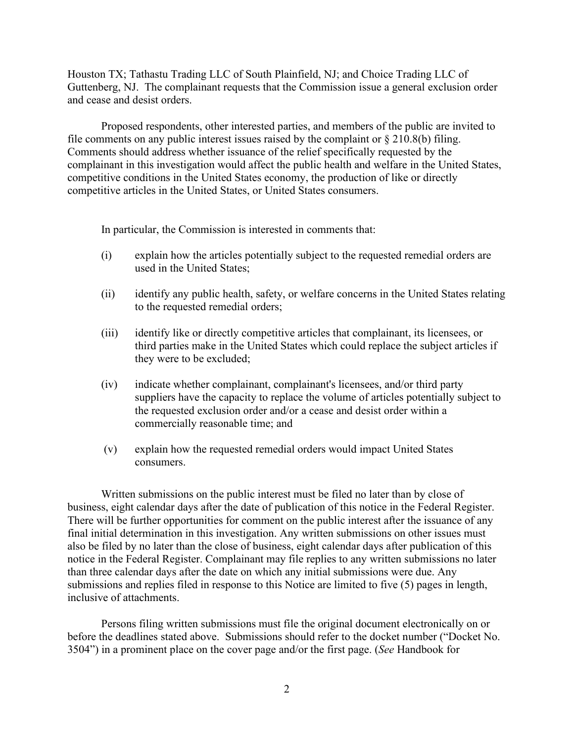Houston TX; Tathastu Trading LLC of South Plainfield, NJ; and Choice Trading LLC of Guttenberg, NJ. The complainant requests that the Commission issue a general exclusion order and cease and desist orders.

Proposed respondents, other interested parties, and members of the public are invited to file comments on any public interest issues raised by the complaint or  $\S 210.8(b)$  filing. Comments should address whether issuance of the relief specifically requested by the complainant in this investigation would affect the public health and welfare in the United States, competitive conditions in the United States economy, the production of like or directly competitive articles in the United States, or United States consumers.

In particular, the Commission is interested in comments that:

- (i) explain how the articles potentially subject to the requested remedial orders are used in the United States;
- (ii) identify any public health, safety, or welfare concerns in the United States relating to the requested remedial orders;
- (iii) identify like or directly competitive articles that complainant, its licensees, or third parties make in the United States which could replace the subject articles if they were to be excluded;
- (iv) indicate whether complainant, complainant's licensees, and/or third party suppliers have the capacity to replace the volume of articles potentially subject to the requested exclusion order and/or a cease and desist order within a commercially reasonable time; and
- (v) explain how the requested remedial orders would impact United States consumers.

Written submissions on the public interest must be filed no later than by close of business, eight calendar days after the date of publication of this notice in the Federal Register. There will be further opportunities for comment on the public interest after the issuance of any final initial determination in this investigation. Any written submissions on other issues must also be filed by no later than the close of business, eight calendar days after publication of this notice in the Federal Register. Complainant may file replies to any written submissions no later than three calendar days after the date on which any initial submissions were due. Any submissions and replies filed in response to this Notice are limited to five (5) pages in length, inclusive of attachments.

Persons filing written submissions must file the original document electronically on or before the deadlines stated above. Submissions should refer to the docket number ("Docket No. 3504") in a prominent place on the cover page and/or the first page. (*See* Handbook for